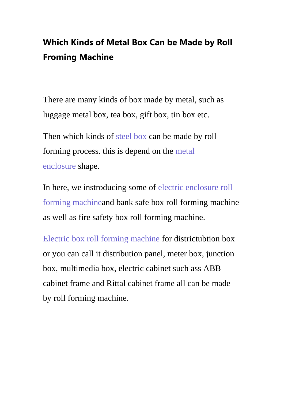## **Which Kinds of Metal Box Can be Made by Roll Froming Machine**

There are many kinds of box made by metal, such as luggage metal box, tea box, gift box, tin box etc.

Then which kinds of [steel box](https://www.superdamc.com/cabinet-box-forming-machine/) can be made by roll forming process. this is depend on the [metal](http://www.superdamachine.com/products.html)  [enclosure](http://www.superdamachine.com/products.html) shape.

In here, we instroducing some of [electric enclosure roll](https://www.superdamc.com/cabinet-box-forming-machine/sheet-metal-box-machine.html)  [forming machinea](https://www.superdamc.com/cabinet-box-forming-machine/sheet-metal-box-machine.html)nd bank safe box roll forming machine as well as fire safety box roll forming machine.

[Electric box roll forming machine](http://www.superdamachine.com/single.html?productId=341) for districtubtion box or you can call it distribution panel, meter box, junction box, multimedia box, electric cabinet such ass ABB cabinet frame and Rittal cabinet frame all can be made by roll forming machine.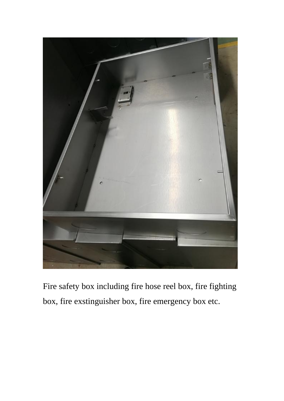

Fire safety box including fire hose reel box, fire fighting box, fire exstinguisher box, fire emergency box etc.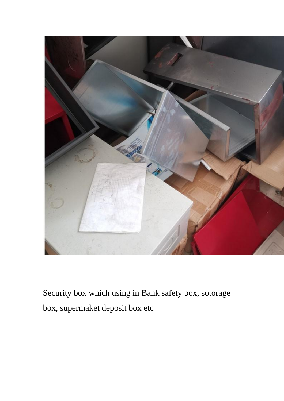

Security box which using in Bank safety box, sotorage box, supermaket deposit box etc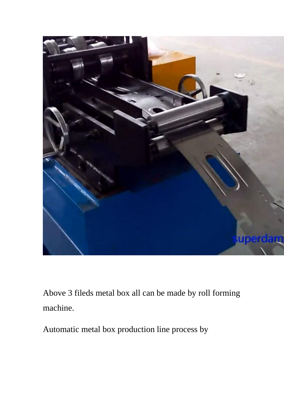

Above 3 fileds metal box all can be made by roll forming machine.

Automatic metal box production line process by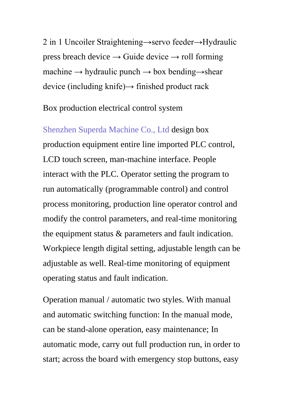2 in 1 Uncoiler Straightening→servo feeder→Hydraulic press breach device  $\rightarrow$  Guide device  $\rightarrow$  roll forming machine  $\rightarrow$  hydraulic punch  $\rightarrow$  box bending $\rightarrow$ shear device (including knife) $\rightarrow$  finished product rack

Box production electrical control system

[Shenzhen Superda Machine Co., Ltd](https://www.superdamc.com/) design box production equipment entire line imported PLC control, LCD touch screen, man-machine interface. People interact with the PLC. Operator setting the program to run automatically (programmable control) and control process monitoring, production line operator control and modify the control parameters, and real-time monitoring the equipment status & parameters and fault indication. Workpiece length digital setting, adjustable length can be adjustable as well. Real-time monitoring of equipment operating status and fault indication.

Operation manual / automatic two styles. With manual and automatic switching function: In the manual mode, can be stand-alone operation, easy maintenance; In automatic mode, carry out full production run, in order to start; across the board with emergency stop buttons, easy